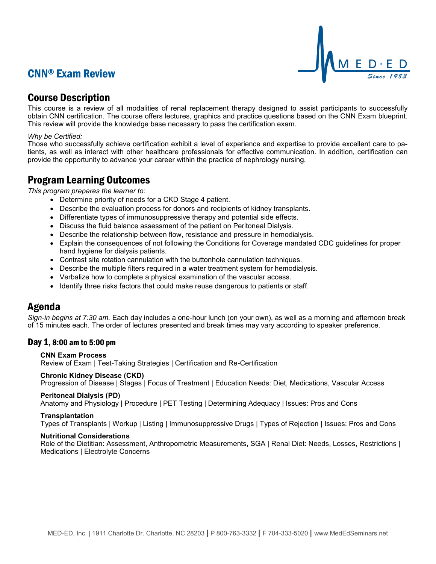## CNN® Exam Review



## Course Description

This course is a review of all modalities of renal replacement therapy designed to assist participants to successfully obtain CNN certification. The course offers lectures, graphics and practice questions based on the CNN Exam blueprint. This review will provide the knowledge base necessary to pass the certification exam.

#### *Why be Certified:*

Those who successfully achieve certification exhibit a level of experience and expertise to provide excellent care to patients, as well as interact with other healthcare professionals for effective communication. In addition, certification can provide the opportunity to advance your career within the practice of nephrology nursing.

## Program Learning Outcomes

*This program prepares the learner to:*

- Determine priority of needs for a CKD Stage 4 patient.
- Describe the evaluation process for donors and recipients of kidney transplants.
- Differentiate types of immunosuppressive therapy and potential side effects.
- Discuss the fluid balance assessment of the patient on Peritoneal Dialysis.
- Describe the relationship between flow, resistance and pressure in hemodialysis.
- Explain the consequences of not following the Conditions for Coverage mandated CDC guidelines for proper hand hygiene for dialysis patients.
- Contrast site rotation cannulation with the buttonhole cannulation techniques.
- Describe the multiple filters required in a water treatment system for hemodialysis.
- Verbalize how to complete a physical examination of the vascular access.
- Identify three risks factors that could make reuse dangerous to patients or staff.

### Agenda

*Sign-in begins at 7:30 am.* Each day includes a one-hour lunch (on your own), as well as a morning and afternoon break of 15 minutes each. The order of lectures presented and break times may vary according to speaker preference.

### Day 1, 8:00 am to 5:00 pm

#### **CNN Exam Process**

Review of Exam | Test-Taking Strategies | Certification and Re-Certification

# **Chronic Kidney Disease (CKD)**

Progression of Disease | Stages | Focus of Treatment | Education Needs: Diet, Medications, Vascular Access

#### **Peritoneal Dialysis (PD)**

Anatomy and Physiology | Procedure | PET Testing | Determining Adequacy | Issues: Pros and Cons

#### **Transplantation**

Types of Transplants | Workup | Listing | Immunosuppressive Drugs | Types of Rejection | Issues: Pros and Cons

#### **Nutritional Considerations**

Role of the Dietitian: Assessment, Anthropometric Measurements, SGA | Renal Diet: Needs, Losses, Restrictions | Medications | Electrolyte Concerns